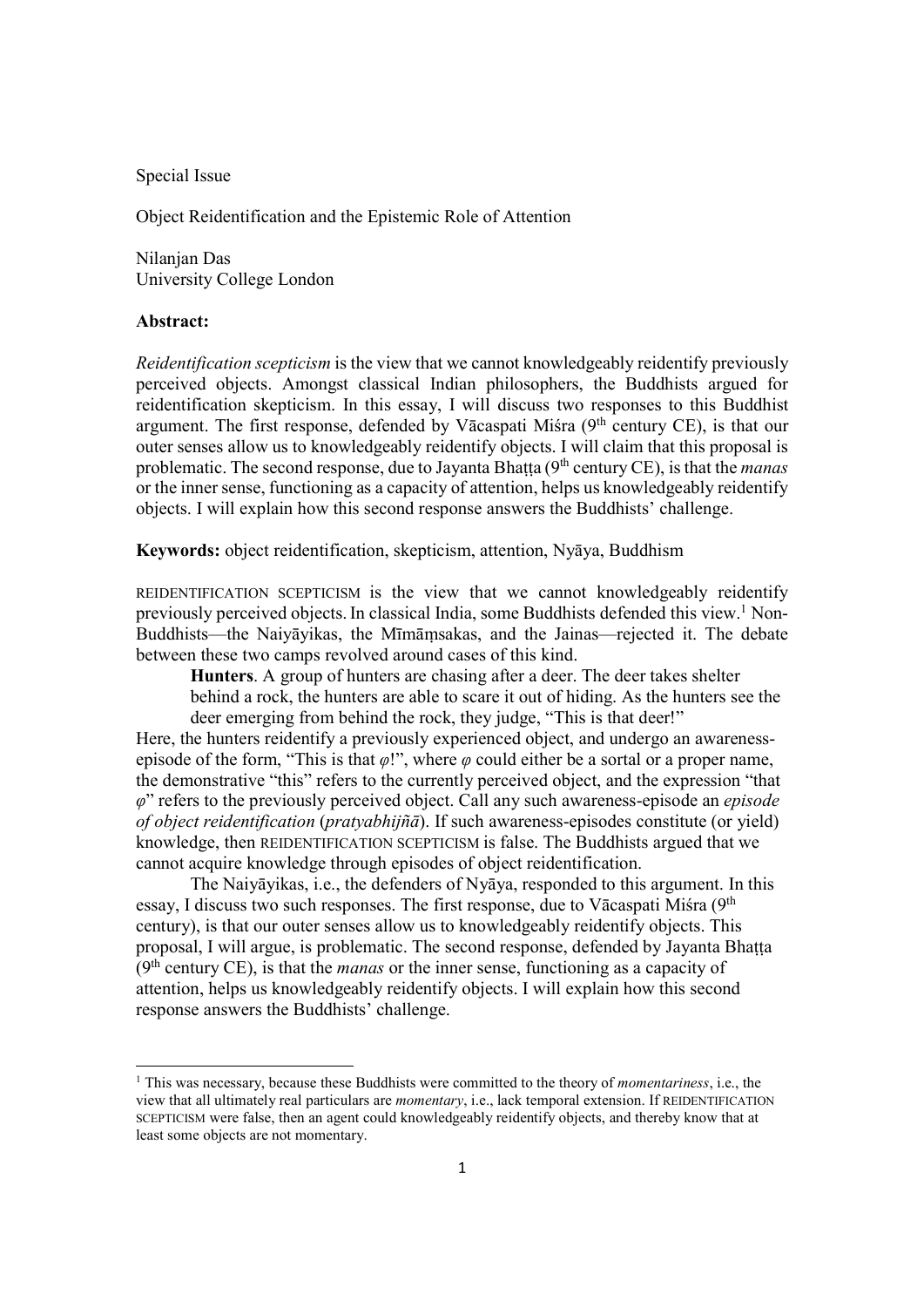Special Issue

Object Reidentification and the Epistemic Role of Attention

Nilanjan Das University College London

#### Abstract:

-

Reidentification scepticism is the view that we cannot knowledgeably reidentify previously perceived objects. Amongst classical Indian philosophers, the Buddhists argued for reidentification skepticism. In this essay, I will discuss two responses to this Buddhist argument. The first response, defended by Vācaspati Miśra (9<sup>th</sup> century CE), is that our outer senses allow us to knowledgeably reidentify objects. I will claim that this proposal is problematic. The second response, due to Jayanta Bhatta  $(9<sup>th</sup>$  century CE), is that the *manas* or the inner sense, functioning as a capacity of attention, helps us knowledgeably reidentify objects. I will explain how this second response answers the Buddhists' challenge.

Keywords: object reidentification, skepticism, attention, Nyāya, Buddhism

REIDENTIFICATION SCEPTICISM is the view that we cannot knowledgeably reidentify previously perceived objects. In classical India, some Buddhists defended this view.<sup>1</sup> Non-Buddhists—the Naiyāyikas, the Mīmāṃsakas, and the Jainas—rejected it. The debate between these two camps revolved around cases of this kind.

Hunters. A group of hunters are chasing after a deer. The deer takes shelter behind a rock, the hunters are able to scare it out of hiding. As the hunters see the deer emerging from behind the rock, they judge, "This is that deer!"

Here, the hunters reidentify a previously experienced object, and undergo an awarenessepisode of the form, "This is that  $\varphi$ !", where  $\varphi$  could either be a sortal or a proper name, the demonstrative "this" refers to the currently perceived object, and the expression "that  $\varphi$ " refers to the previously perceived object. Call any such awareness-episode an *episode* of object reidentification (pratyabhijñā). If such awareness-episodes constitute (or yield) knowledge, then REIDENTIFICATION SCEPTICISM is false. The Buddhists argued that we cannot acquire knowledge through episodes of object reidentification.

The Naiyāyikas, i.e., the defenders of Nyāya, responded to this argument. In this essay, I discuss two such responses. The first response, due to Vācaspati Miśra (9<sup>th</sup>) century), is that our outer senses allow us to knowledgeably reidentify objects. This proposal, I will argue, is problematic. The second response, defended by Jayanta Bhaṭṭa  $(9<sup>th</sup>$  century CE), is that the *manas* or the inner sense, functioning as a capacity of attention, helps us knowledgeably reidentify objects. I will explain how this second response answers the Buddhists' challenge.

<sup>&</sup>lt;sup>1</sup> This was necessary, because these Buddhists were committed to the theory of *momentariness*, i.e., the view that all ultimately real particulars are momentary, i.e., lack temporal extension. If REIDENTIFICATION SCEPTICISM were false, then an agent could knowledgeably reidentify objects, and thereby know that at least some objects are not momentary.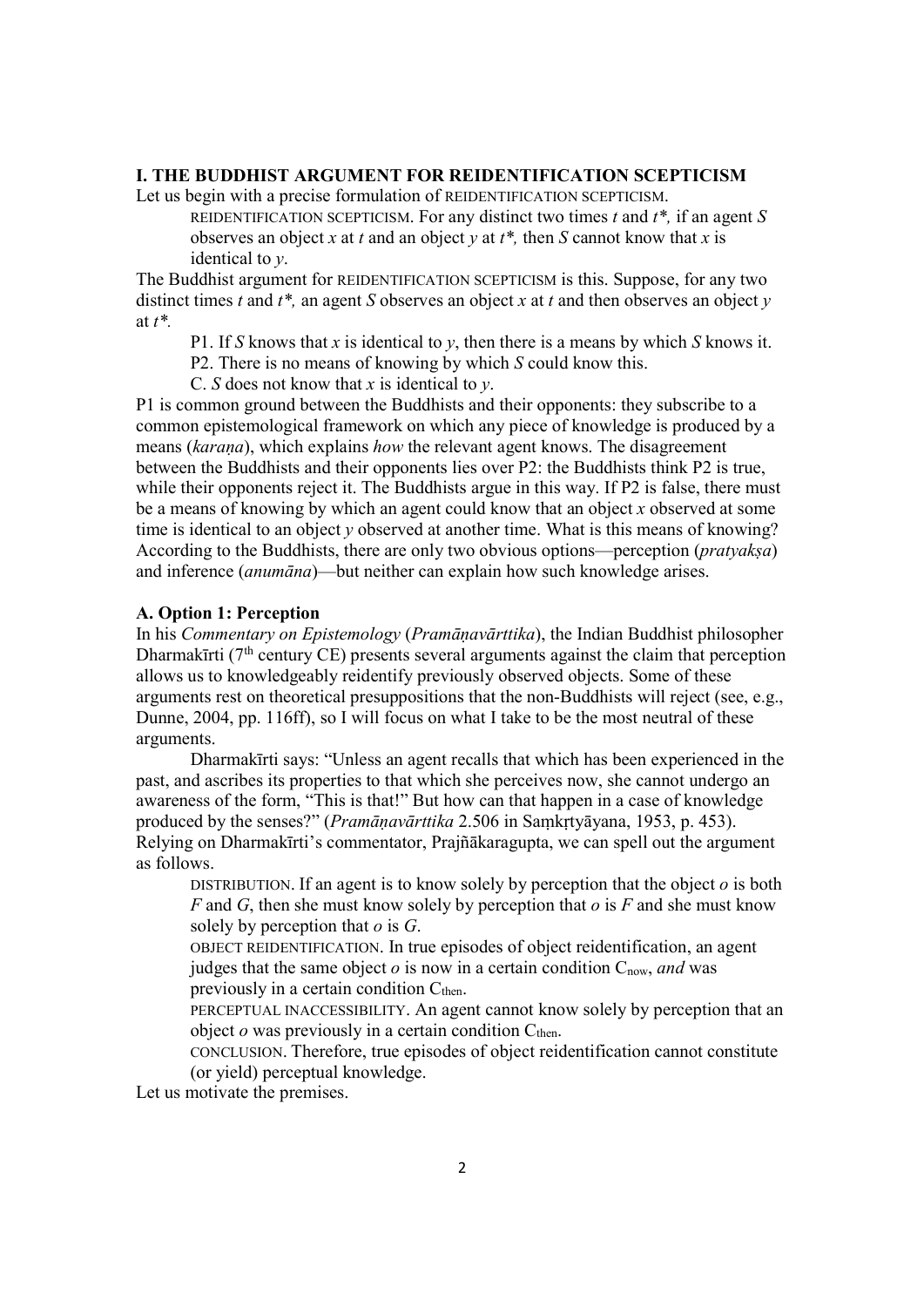# I. THE BUDDHIST ARGUMENT FOR REIDENTIFICATION SCEPTICISM

Let us begin with a precise formulation of REIDENTIFICATION SCEPTICISM.

REIDENTIFICATION SCEPTICISM. For any distinct two times t and  $t^*$ , if an agent S observes an object x at t and an object y at  $t^*$ , then S cannot know that x is identical to y.

The Buddhist argument for REIDENTIFICATION SCEPTICISM is this. Suppose, for any two distinct times t and  $t^*$ , an agent S observes an object x at t and then observes an object y at  $t^*$ .

P1. If S knows that x is identical to y, then there is a means by which S knows it.

P2. There is no means of knowing by which S could know this.

C. S does not know that x is identical to  $y$ .

P1 is common ground between the Buddhists and their opponents: they subscribe to a common epistemological framework on which any piece of knowledge is produced by a means (karaṇa), which explains how the relevant agent knows. The disagreement between the Buddhists and their opponents lies over P2: the Buddhists think P2 is true, while their opponents reject it. The Buddhists argue in this way. If P2 is false, there must be a means of knowing by which an agent could know that an object x observed at some time is identical to an object y observed at another time. What is this means of knowing? According to the Buddhists, there are only two obvious options—perception (pratyakṣa) and inference (anumāna)—but neither can explain how such knowledge arises.

## A. Option 1: Perception

In his Commentary on Epistemology (Pramāṇavārttika), the Indian Buddhist philosopher Dharmakīrti ( $7<sup>th</sup>$  century CE) presents several arguments against the claim that perception allows us to knowledgeably reidentify previously observed objects. Some of these arguments rest on theoretical presuppositions that the non-Buddhists will reject (see, e.g., Dunne, 2004, pp. 116ff), so I will focus on what I take to be the most neutral of these arguments.

Dharmakīrti says: "Unless an agent recalls that which has been experienced in the past, and ascribes its properties to that which she perceives now, she cannot undergo an awareness of the form, "This is that!" But how can that happen in a case of knowledge produced by the senses?" (Pramāṇavārttika 2.506 in Saṃkṛtyāyana, 1953, p. 453). Relying on Dharmakīrti's commentator, Prajñākaragupta, we can spell out the argument as follows.

DISTRIBUTION. If an agent is to know solely by perception that the object  $o$  is both  $F$  and  $G$ , then she must know solely by perception that  $o$  is  $F$  and she must know solely by perception that  $o$  is  $G$ .

OBJECT REIDENTIFICATION. In true episodes of object reidentification, an agent judges that the same object  $o$  is now in a certain condition  $C_{now}$ , and was previously in a certain condition C<sub>then</sub>.

PERCEPTUAL INACCESSIBILITY. An agent cannot know solely by perception that an object  $o$  was previously in a certain condition  $C_{\text{then}}$ .

CONCLUSION. Therefore, true episodes of object reidentification cannot constitute (or yield) perceptual knowledge.

Let us motivate the premises.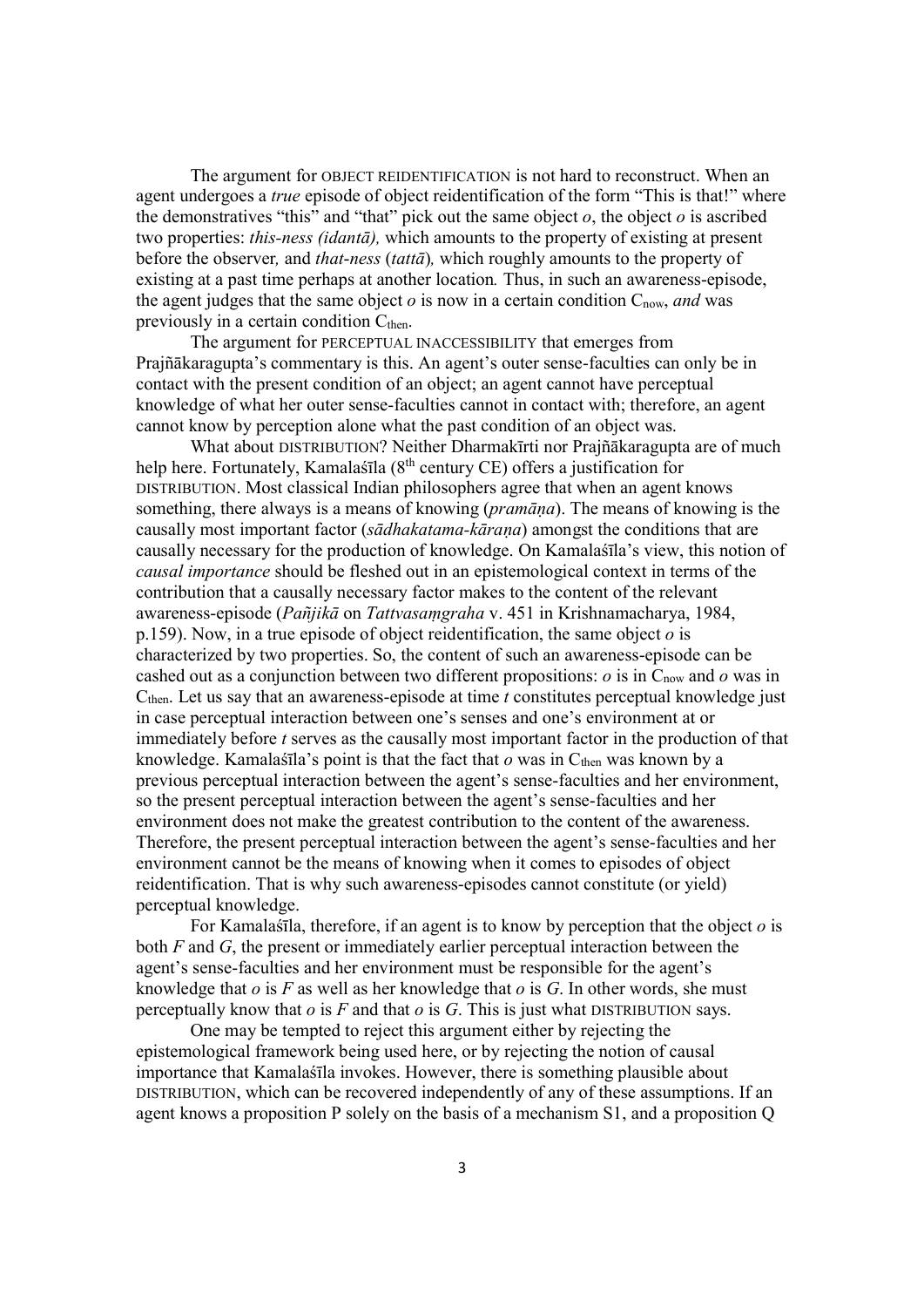The argument for OBJECT REIDENTIFICATION is not hard to reconstruct. When an agent undergoes a true episode of object reidentification of the form "This is that!" where the demonstratives "this" and "that" pick out the same object  $o$ , the object  $o$  is ascribed two properties: this-ness (idantā), which amounts to the property of existing at present before the observer, and *that-ness* (*tatta*), which roughly amounts to the property of existing at a past time perhaps at another location. Thus, in such an awareness-episode, the agent judges that the same object  $\sigma$  is now in a certain condition  $C_{now}$ , and was previously in a certain condition  $C_{\text{then}}$ .

The argument for PERCEPTUAL INACCESSIBILITY that emerges from Prajñākaragupta's commentary is this. An agent's outer sense-faculties can only be in contact with the present condition of an object; an agent cannot have perceptual knowledge of what her outer sense-faculties cannot in contact with; therefore, an agent cannot know by perception alone what the past condition of an object was.

What about DISTRIBUTION? Neither Dharmakīrti nor Prajñākaragupta are of much help here. Fortunately, Kamalaśīla (8<sup>th</sup> century CE) offers a justification for DISTRIBUTION. Most classical Indian philosophers agree that when an agent knows something, there always is a means of knowing (*pramāna*). The means of knowing is the causally most important factor (sādhakatama-kāraṇa) amongst the conditions that are causally necessary for the production of knowledge. On Kamalaśīla's view, this notion of causal importance should be fleshed out in an epistemological context in terms of the contribution that a causally necessary factor makes to the content of the relevant awareness-episode (Pañjikā on Tattvasaṃgraha v. 451 in Krishnamacharya, 1984, p.159). Now, in a true episode of object reidentification, the same object  $o$  is characterized by two properties. So, the content of such an awareness-episode can be cashed out as a conjunction between two different propositions:  $o$  is in  $C_{now}$  and  $o$  was in  $C<sub>then</sub>$ . Let us say that an awareness-episode at time t constitutes perceptual knowledge just in case perceptual interaction between one's senses and one's environment at or immediately before t serves as the causally most important factor in the production of that knowledge. Kamalaśīla's point is that the fact that  $\sigma$  was in C<sub>then</sub> was known by a previous perceptual interaction between the agent's sense-faculties and her environment, so the present perceptual interaction between the agent's sense-faculties and her environment does not make the greatest contribution to the content of the awareness. Therefore, the present perceptual interaction between the agent's sense-faculties and her environment cannot be the means of knowing when it comes to episodes of object reidentification. That is why such awareness-episodes cannot constitute (or yield) perceptual knowledge.

For Kamalaśīla, therefore, if an agent is to know by perception that the object  $\sigma$  is both F and G, the present or immediately earlier perceptual interaction between the agent's sense-faculties and her environment must be responsible for the agent's knowledge that  $o$  is F as well as her knowledge that  $o$  is G. In other words, she must perceptually know that  $\sigma$  is  $F$  and that  $\sigma$  is  $G$ . This is just what DISTRIBUTION says.

One may be tempted to reject this argument either by rejecting the epistemological framework being used here, or by rejecting the notion of causal importance that Kamalaśīla invokes. However, there is something plausible about DISTRIBUTION, which can be recovered independently of any of these assumptions. If an agent knows a proposition P solely on the basis of a mechanism S1, and a proposition Q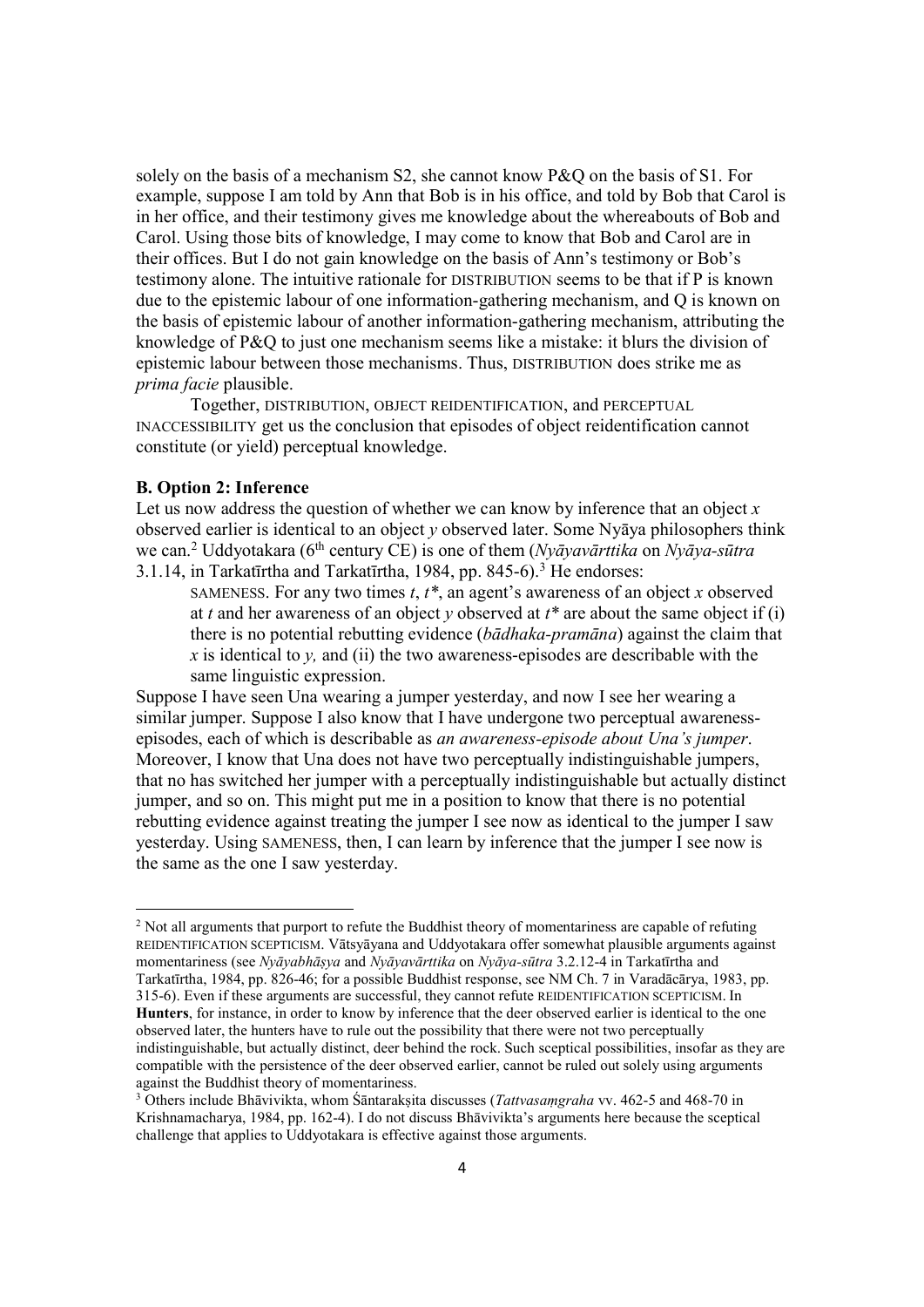solely on the basis of a mechanism S2, she cannot know P&Q on the basis of S1. For example, suppose I am told by Ann that Bob is in his office, and told by Bob that Carol is in her office, and their testimony gives me knowledge about the whereabouts of Bob and Carol. Using those bits of knowledge, I may come to know that Bob and Carol are in their offices. But I do not gain knowledge on the basis of Ann's testimony or Bob's testimony alone. The intuitive rationale for DISTRIBUTION seems to be that if P is known due to the epistemic labour of one information-gathering mechanism, and Q is known on the basis of epistemic labour of another information-gathering mechanism, attributing the knowledge of P&Q to just one mechanism seems like a mistake: it blurs the division of epistemic labour between those mechanisms. Thus, DISTRIBUTION does strike me as prima facie plausible.

Together, DISTRIBUTION, OBJECT REIDENTIFICATION, and PERCEPTUAL INACCESSIBILITY get us the conclusion that episodes of object reidentification cannot constitute (or yield) perceptual knowledge.

# B. Option 2: Inference

-

Let us now address the question of whether we can know by inference that an object  $x$ observed earlier is identical to an object y observed later. Some Nyāya philosophers think we can.<sup>2</sup> Uddyotakara (6<sup>th</sup> century CE) is one of them (*Nyāyavārttika* on *Nyāya-sūtra* 3.1.14, in Tarkatīrtha and Tarkatīrtha, 1984, pp. 845-6).<sup>3</sup> He endorses:

SAMENESS. For any two times  $t$ ,  $t^*$ , an agent's awareness of an object x observed at t and her awareness of an object y observed at  $t^*$  are about the same object if (i) there is no potential rebutting evidence (bādhaka-pramāna) against the claim that  $x$  is identical to  $y$ , and (ii) the two awareness-episodes are describable with the same linguistic expression.

Suppose I have seen Una wearing a jumper yesterday, and now I see her wearing a similar jumper. Suppose I also know that I have undergone two perceptual awarenessepisodes, each of which is describable as an awareness-episode about Una's jumper. Moreover, I know that Una does not have two perceptually indistinguishable jumpers, that no has switched her jumper with a perceptually indistinguishable but actually distinct jumper, and so on. This might put me in a position to know that there is no potential rebutting evidence against treating the jumper I see now as identical to the jumper I saw yesterday. Using SAMENESS, then, I can learn by inference that the jumper I see now is the same as the one I saw yesterday.

<sup>&</sup>lt;sup>2</sup> Not all arguments that purport to refute the Buddhist theory of momentariness are capable of refuting REIDENTIFICATION SCEPTICISM. Vātsyāyana and Uddyotakara offer somewhat plausible arguments against momentariness (see Nyāyabhāṣya and Nyāyavārttika on Nyāya-sūtra 3.2.12-4 in Tarkatīrtha and Tarkatīrtha, 1984, pp. 826-46; for a possible Buddhist response, see NM Ch. 7 in Varadācārya, 1983, pp. 315-6). Even if these arguments are successful, they cannot refute REIDENTIFICATION SCEPTICISM. In Hunters, for instance, in order to know by inference that the deer observed earlier is identical to the one observed later, the hunters have to rule out the possibility that there were not two perceptually indistinguishable, but actually distinct, deer behind the rock. Such sceptical possibilities, insofar as they are compatible with the persistence of the deer observed earlier, cannot be ruled out solely using arguments against the Buddhist theory of momentariness.

<sup>&</sup>lt;sup>3</sup> Others include Bhāvivikta, whom Śāntarakṣita discusses (Tattvasamgraha vv. 462-5 and 468-70 in Krishnamacharya, 1984, pp. 162-4). I do not discuss Bhāvivikta's arguments here because the sceptical challenge that applies to Uddyotakara is effective against those arguments.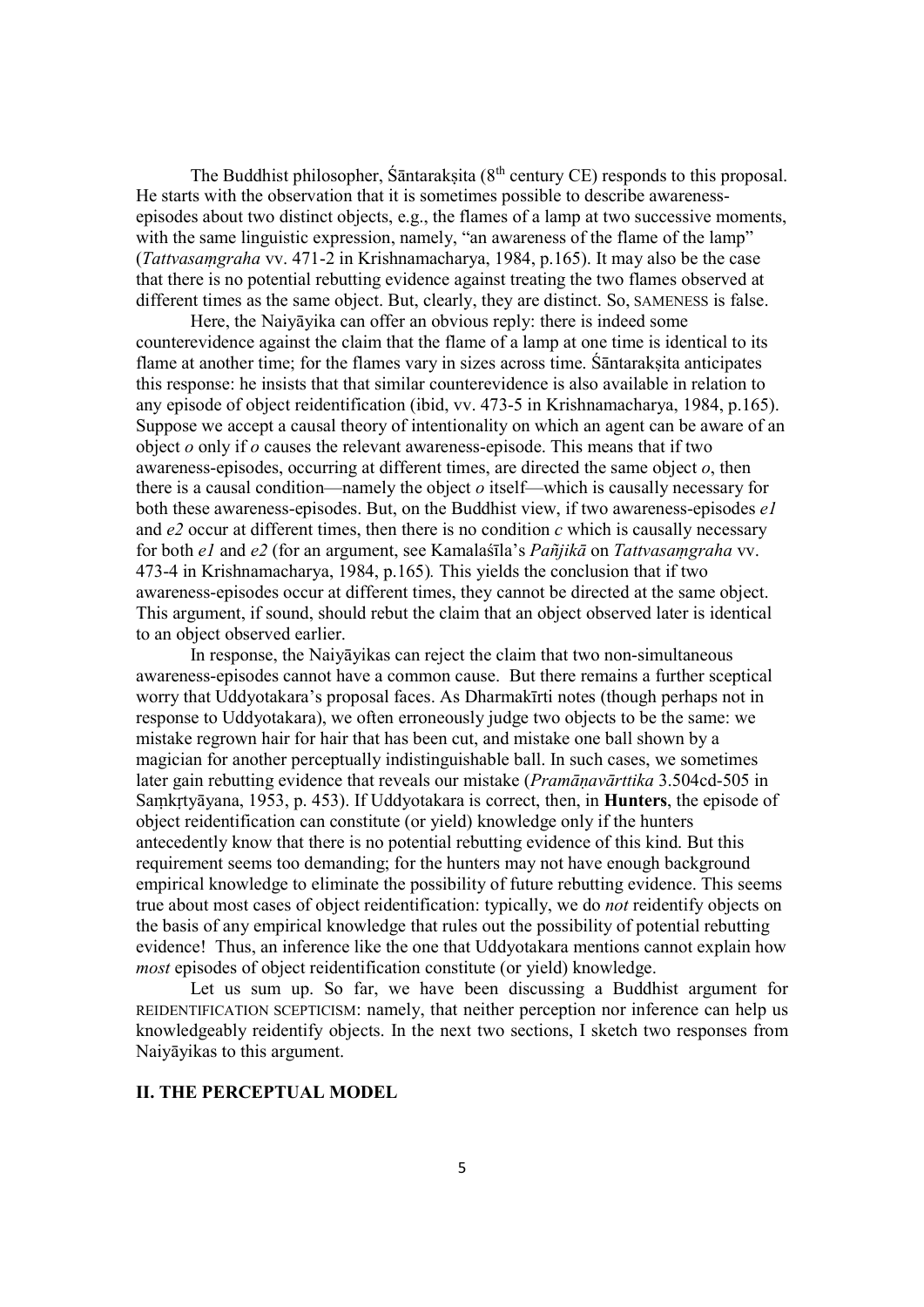The Buddhist philosopher, Śāntarakṣita  $(8<sup>th</sup>$  century CE) responds to this proposal. He starts with the observation that it is sometimes possible to describe awarenessepisodes about two distinct objects, e.g., the flames of a lamp at two successive moments, with the same linguistic expression, namely, "an awareness of the flame of the lamp" (Tattvasaṃgraha vv. 471-2 in Krishnamacharya, 1984, p.165). It may also be the case that there is no potential rebutting evidence against treating the two flames observed at different times as the same object. But, clearly, they are distinct. So, SAMENESS is false.

Here, the Naiyāyika can offer an obvious reply: there is indeed some counterevidence against the claim that the flame of a lamp at one time is identical to its flame at another time; for the flames vary in sizes across time. Santaraksita anticipates this response: he insists that that similar counterevidence is also available in relation to any episode of object reidentification (ibid, vv. 473-5 in Krishnamacharya, 1984, p.165). Suppose we accept a causal theory of intentionality on which an agent can be aware of an object  $o$  only if  $o$  causes the relevant awareness-episode. This means that if two awareness-episodes, occurring at different times, are directed the same object  $o$ , then there is a causal condition—namely the object  $o$  itself—which is causally necessary for both these awareness-episodes. But, on the Buddhist view, if two awareness-episodes  $eI$ and  $e^2$  occur at different times, then there is no condition  $c$  which is causally necessary for both e1 and e2 (for an argument, see Kamalaśīla's Pañjikā on Tattvasaṃgraha vv. 473-4 in Krishnamacharya, 1984, p.165). This yields the conclusion that if two awareness-episodes occur at different times, they cannot be directed at the same object. This argument, if sound, should rebut the claim that an object observed later is identical to an object observed earlier.

In response, the Naiyāyikas can reject the claim that two non-simultaneous awareness-episodes cannot have a common cause. But there remains a further sceptical worry that Uddyotakara's proposal faces. As Dharmakīrti notes (though perhaps not in response to Uddyotakara), we often erroneously judge two objects to be the same: we mistake regrown hair for hair that has been cut, and mistake one ball shown by a magician for another perceptually indistinguishable ball. In such cases, we sometimes later gain rebutting evidence that reveals our mistake *(Pramānavārttika* 3.504cd-505 in Saṃkṛtyāyana, 1953, p. 453). If Uddyotakara is correct, then, in Hunters, the episode of object reidentification can constitute (or yield) knowledge only if the hunters antecedently know that there is no potential rebutting evidence of this kind. But this requirement seems too demanding; for the hunters may not have enough background empirical knowledge to eliminate the possibility of future rebutting evidence. This seems true about most cases of object reidentification: typically, we do not reidentify objects on the basis of any empirical knowledge that rules out the possibility of potential rebutting evidence! Thus, an inference like the one that Uddyotakara mentions cannot explain how most episodes of object reidentification constitute (or yield) knowledge.

Let us sum up. So far, we have been discussing a Buddhist argument for REIDENTIFICATION SCEPTICISM: namely, that neither perception nor inference can help us knowledgeably reidentify objects. In the next two sections, I sketch two responses from Naiyāyikas to this argument.

### II. THE PERCEPTUAL MODEL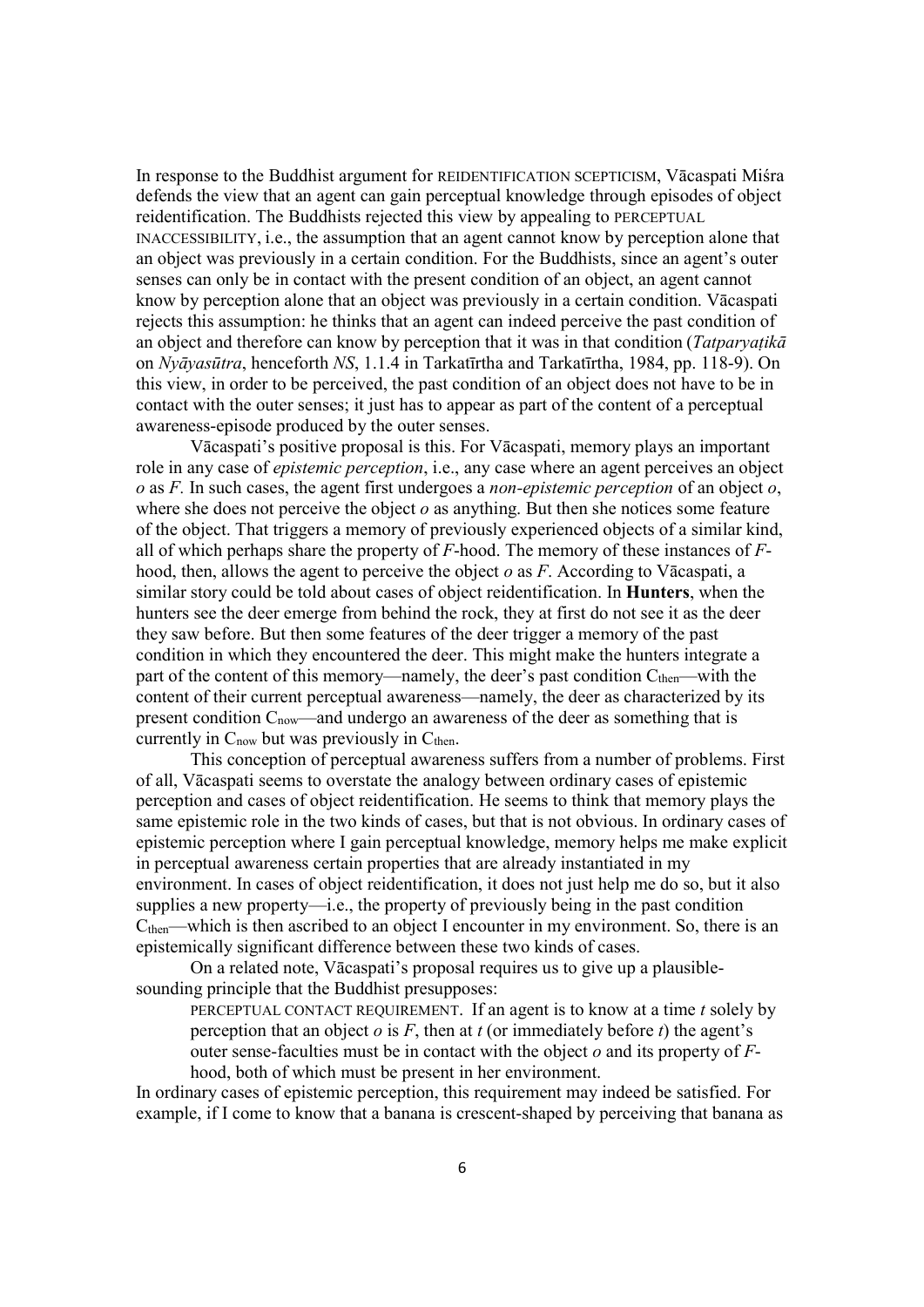In response to the Buddhist argument for REIDENTIFICATION SCEPTICISM, Vācaspati Miśra defends the view that an agent can gain perceptual knowledge through episodes of object reidentification. The Buddhists rejected this view by appealing to PERCEPTUAL INACCESSIBILITY, i.e., the assumption that an agent cannot know by perception alone that an object was previously in a certain condition. For the Buddhists, since an agent's outer senses can only be in contact with the present condition of an object, an agent cannot know by perception alone that an object was previously in a certain condition. Vācaspati rejects this assumption: he thinks that an agent can indeed perceive the past condition of an object and therefore can know by perception that it was in that condition (Tatparyatika on Nyāyasūtra, henceforth NS, 1.1.4 in Tarkatīrtha and Tarkatīrtha, 1984, pp. 118-9). On this view, in order to be perceived, the past condition of an object does not have to be in contact with the outer senses; it just has to appear as part of the content of a perceptual awareness-episode produced by the outer senses.

Vācaspati's positive proposal is this. For Vācaspati, memory plays an important role in any case of epistemic perception, i.e., any case where an agent perceives an object  $o$  as F. In such cases, the agent first undergoes a *non-epistemic perception* of an object  $o$ , where she does not perceive the object  $o$  as anything. But then she notices some feature of the object. That triggers a memory of previously experienced objects of a similar kind, all of which perhaps share the property of  $F$ -hood. The memory of these instances of  $F$ hood, then, allows the agent to perceive the object  $\rho$  as F. According to Vācaspati, a similar story could be told about cases of object reidentification. In Hunters, when the hunters see the deer emerge from behind the rock, they at first do not see it as the deer they saw before. But then some features of the deer trigger a memory of the past condition in which they encountered the deer. This might make the hunters integrate a part of the content of this memory—namely, the deer's past condition  $C_{\text{then}}$ —with the content of their current perceptual awareness—namely, the deer as characterized by its present condition  $C_{\text{now}}$ —and undergo an awareness of the deer as something that is currently in  $C_{now}$  but was previously in  $C_{then}$ .

This conception of perceptual awareness suffers from a number of problems. First of all, Vācaspati seems to overstate the analogy between ordinary cases of epistemic perception and cases of object reidentification. He seems to think that memory plays the same epistemic role in the two kinds of cases, but that is not obvious. In ordinary cases of epistemic perception where I gain perceptual knowledge, memory helps me make explicit in perceptual awareness certain properties that are already instantiated in my environment. In cases of object reidentification, it does not just help me do so, but it also supplies a new property—i.e., the property of previously being in the past condition  $C<sub>then</sub>$ —which is then ascribed to an object I encounter in my environment. So, there is an epistemically significant difference between these two kinds of cases.

On a related note, Vācaspati's proposal requires us to give up a plausiblesounding principle that the Buddhist presupposes:

PERCEPTUAL CONTACT REQUIREMENT. If an agent is to know at a time  $t$  solely by perception that an object  $o$  is  $F$ , then at  $t$  (or immediately before  $t$ ) the agent's outer sense-faculties must be in contact with the object  $o$  and its property of  $F$ hood, both of which must be present in her environment.

In ordinary cases of epistemic perception, this requirement may indeed be satisfied. For example, if I come to know that a banana is crescent-shaped by perceiving that banana as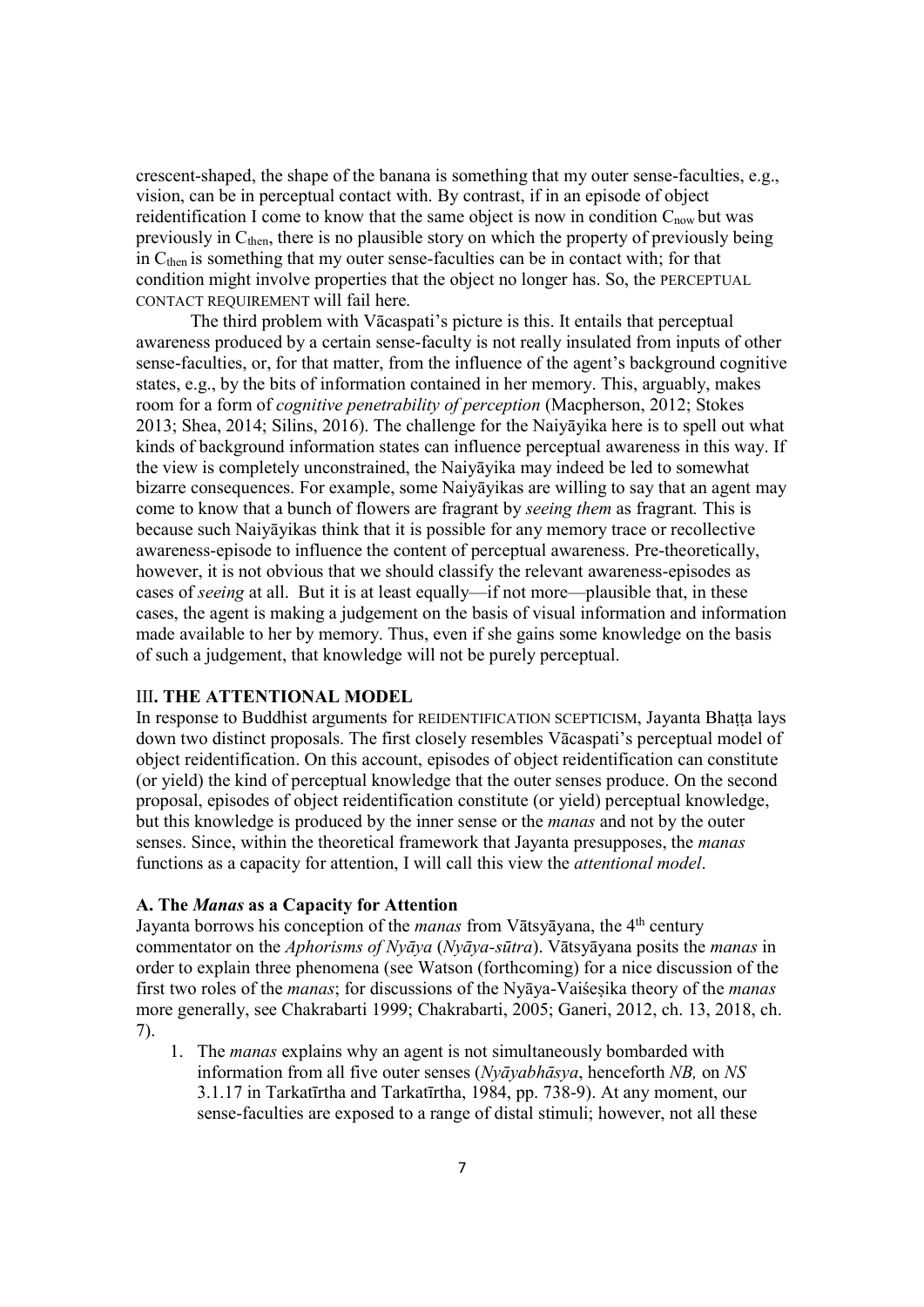crescent-shaped, the shape of the banana is something that my outer sense-faculties, e.g., vision, can be in perceptual contact with. By contrast, if in an episode of object reidentification I come to know that the same object is now in condition C<sub>now</sub> but was previously in  $C_{\text{then}}$ , there is no plausible story on which the property of previously being in C<sub>then</sub> is something that my outer sense-faculties can be in contact with; for that condition might involve properties that the object no longer has. So, the PERCEPTUAL CONTACT REQUIREMENT will fail here.

The third problem with Vācaspati's picture is this. It entails that perceptual awareness produced by a certain sense-faculty is not really insulated from inputs of other sense-faculties, or, for that matter, from the influence of the agent's background cognitive states, e.g., by the bits of information contained in her memory. This, arguably, makes room for a form of cognitive penetrability of perception (Macpherson, 2012; Stokes 2013; Shea, 2014; Silins, 2016). The challenge for the Naiyāyika here is to spell out what kinds of background information states can influence perceptual awareness in this way. If the view is completely unconstrained, the Naiyāyika may indeed be led to somewhat bizarre consequences. For example, some Naiyāyikas are willing to say that an agent may come to know that a bunch of flowers are fragrant by seeing them as fragrant. This is because such Naiyāyikas think that it is possible for any memory trace or recollective awareness-episode to influence the content of perceptual awareness. Pre-theoretically, however, it is not obvious that we should classify the relevant awareness-episodes as cases of seeing at all. But it is at least equally—if not more—plausible that, in these cases, the agent is making a judgement on the basis of visual information and information made available to her by memory. Thus, even if she gains some knowledge on the basis of such a judgement, that knowledge will not be purely perceptual.

#### III. THE ATTENTIONAL MODEL

In response to Buddhist arguments for REIDENTIFICATION SCEPTICISM, Jayanta Bhaṭṭa lays down two distinct proposals. The first closely resembles Vācaspati's perceptual model of object reidentification. On this account, episodes of object reidentification can constitute (or yield) the kind of perceptual knowledge that the outer senses produce. On the second proposal, episodes of object reidentification constitute (or yield) perceptual knowledge, but this knowledge is produced by the inner sense or the manas and not by the outer senses. Since, within the theoretical framework that Jayanta presupposes, the manas functions as a capacity for attention, I will call this view the attentional model.

#### A. The Manas as a Capacity for Attention

Jayanta borrows his conception of the *manas* from Vātsyāyana, the  $4<sup>th</sup>$  century commentator on the Aphorisms of Nyāya (Nyāya-sūtra). Vātsyāyana posits the manas in order to explain three phenomena (see Watson (forthcoming) for a nice discussion of the first two roles of the manas; for discussions of the Nyāya-Vaiśeṣika theory of the manas more generally, see Chakrabarti 1999; Chakrabarti, 2005; Ganeri, 2012, ch. 13, 2018, ch. 7).

1. The manas explains why an agent is not simultaneously bombarded with information from all five outer senses (Nyāyabhāsya, henceforth NB, on NS 3.1.17 in Tarkatīrtha and Tarkatīrtha, 1984, pp. 738-9). At any moment, our sense-faculties are exposed to a range of distal stimuli; however, not all these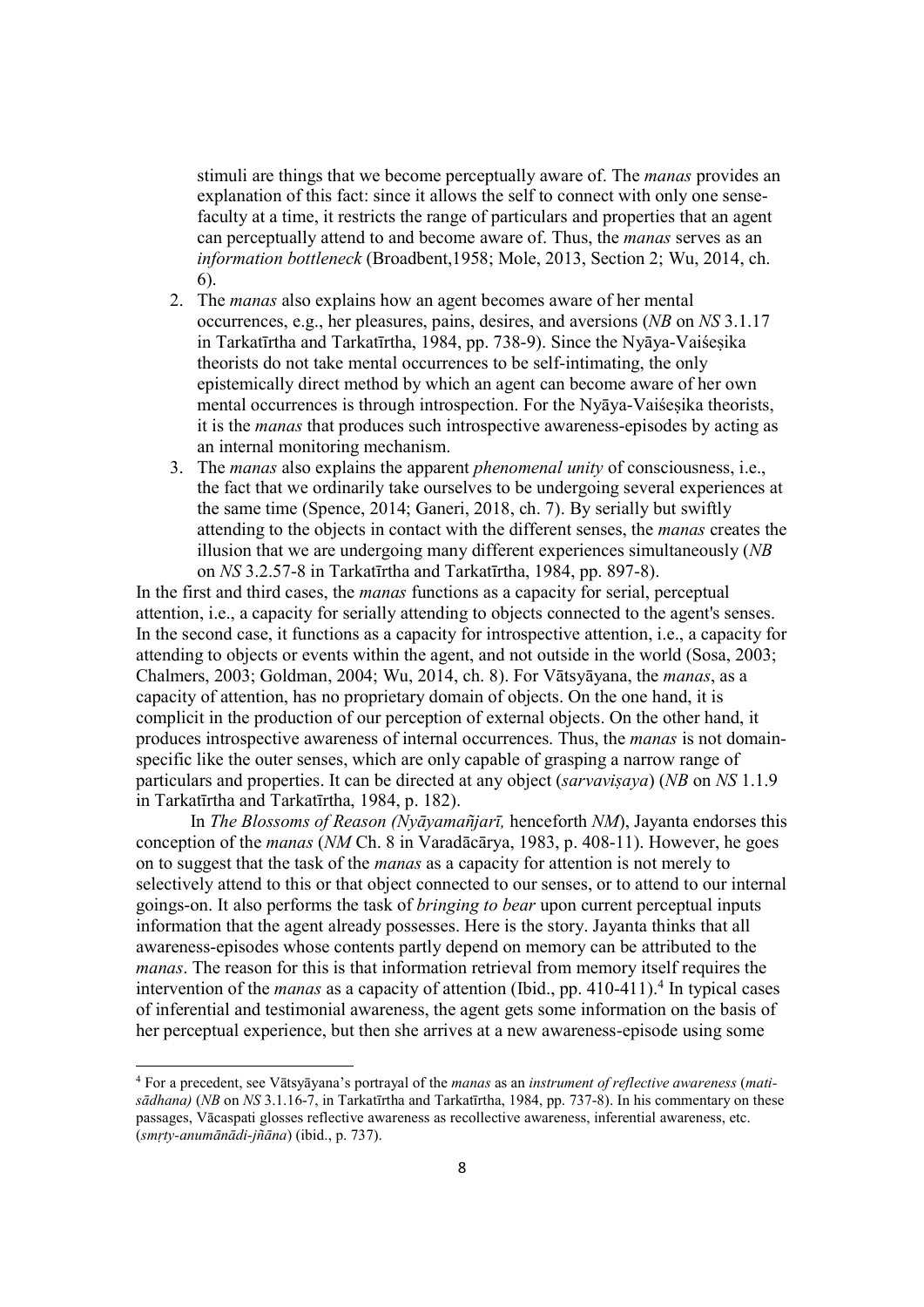stimuli are things that we become perceptually aware of. The manas provides an explanation of this fact: since it allows the self to connect with only one sensefaculty at a time, it restricts the range of particulars and properties that an agent can perceptually attend to and become aware of. Thus, the manas serves as an information bottleneck (Broadbent,1958; Mole, 2013, Section 2; Wu, 2014, ch. 6).

- 2. The manas also explains how an agent becomes aware of her mental occurrences, e.g., her pleasures, pains, desires, and aversions (NB on NS 3.1.17 in Tarkatīrtha and Tarkatīrtha, 1984, pp. 738-9). Since the Nyāya-Vaiśeṣika theorists do not take mental occurrences to be self-intimating, the only epistemically direct method by which an agent can become aware of her own mental occurrences is through introspection. For the Nyāya-Vaiśesika theorists, it is the manas that produces such introspective awareness-episodes by acting as an internal monitoring mechanism.
- 3. The manas also explains the apparent phenomenal unity of consciousness, i.e., the fact that we ordinarily take ourselves to be undergoing several experiences at the same time (Spence, 2014; Ganeri, 2018, ch. 7). By serially but swiftly attending to the objects in contact with the different senses, the manas creates the illusion that we are undergoing many different experiences simultaneously (NB on NS 3.2.57-8 in Tarkatīrtha and Tarkatīrtha, 1984, pp. 897-8).

In the first and third cases, the manas functions as a capacity for serial, perceptual attention, i.e., a capacity for serially attending to objects connected to the agent's senses. In the second case, it functions as a capacity for introspective attention, i.e., a capacity for attending to objects or events within the agent, and not outside in the world (Sosa, 2003; Chalmers, 2003; Goldman, 2004; Wu, 2014, ch. 8). For Vātsyāyana, the manas, as a capacity of attention, has no proprietary domain of objects. On the one hand, it is complicit in the production of our perception of external objects. On the other hand, it produces introspective awareness of internal occurrences. Thus, the manas is not domainspecific like the outer senses, which are only capable of grasping a narrow range of particulars and properties. It can be directed at any object (sarvavisaya) (NB on NS 1.1.9 in Tarkatīrtha and Tarkatīrtha, 1984, p. 182).

 In The Blossoms of Reason (Nyāyamañjarī, henceforth NM), Jayanta endorses this conception of the manas (NM Ch. 8 in Varadācārya, 1983, p. 408-11). However, he goes on to suggest that the task of the *manas* as a capacity for attention is not merely to selectively attend to this or that object connected to our senses, or to attend to our internal goings-on. It also performs the task of bringing to bear upon current perceptual inputs information that the agent already possesses. Here is the story. Jayanta thinks that all awareness-episodes whose contents partly depend on memory can be attributed to the manas. The reason for this is that information retrieval from memory itself requires the intervention of the *manas* as a capacity of attention (Ibid., pp.  $410-411$ ).<sup>4</sup> In typical cases of inferential and testimonial awareness, the agent gets some information on the basis of her perceptual experience, but then she arrives at a new awareness-episode using some

-

<sup>&</sup>lt;sup>4</sup> For a precedent, see Vātsyāyana's portrayal of the manas as an instrument of reflective awareness (matisādhana) (NB on NS 3.1.16-7, in Tarkatīrtha and Tarkatīrtha, 1984, pp. 737-8). In his commentary on these passages, Vācaspati glosses reflective awareness as recollective awareness, inferential awareness, etc. (smṛty-anumānādi-jñāna) (ibid., p. 737).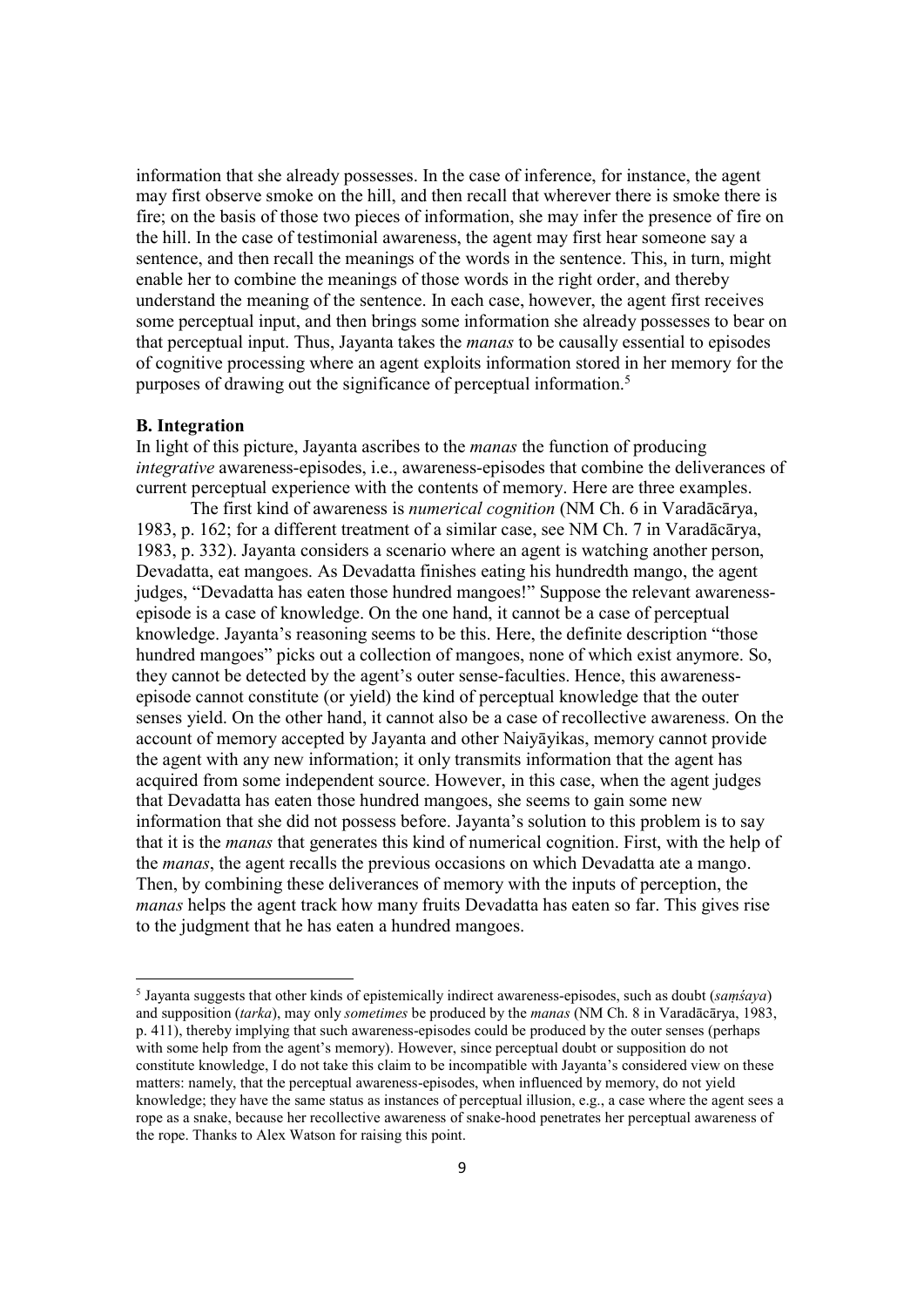information that she already possesses. In the case of inference, for instance, the agent may first observe smoke on the hill, and then recall that wherever there is smoke there is fire; on the basis of those two pieces of information, she may infer the presence of fire on the hill. In the case of testimonial awareness, the agent may first hear someone say a sentence, and then recall the meanings of the words in the sentence. This, in turn, might enable her to combine the meanings of those words in the right order, and thereby understand the meaning of the sentence. In each case, however, the agent first receives some perceptual input, and then brings some information she already possesses to bear on that perceptual input. Thus, Jayanta takes the manas to be causally essential to episodes of cognitive processing where an agent exploits information stored in her memory for the purposes of drawing out the significance of perceptual information.<sup>5</sup>

#### B. Integration

-

In light of this picture, Jayanta ascribes to the manas the function of producing integrative awareness-episodes, i.e., awareness-episodes that combine the deliverances of current perceptual experience with the contents of memory. Here are three examples.

 The first kind of awareness is numerical cognition (NM Ch. 6 in Varadācārya, 1983, p. 162; for a different treatment of a similar case, see NM Ch. 7 in Varadācārya, 1983, p. 332). Jayanta considers a scenario where an agent is watching another person, Devadatta, eat mangoes. As Devadatta finishes eating his hundredth mango, the agent judges, "Devadatta has eaten those hundred mangoes!" Suppose the relevant awarenessepisode is a case of knowledge. On the one hand, it cannot be a case of perceptual knowledge. Jayanta's reasoning seems to be this. Here, the definite description "those hundred mangoes" picks out a collection of mangoes, none of which exist anymore. So, they cannot be detected by the agent's outer sense-faculties. Hence, this awarenessepisode cannot constitute (or yield) the kind of perceptual knowledge that the outer senses yield. On the other hand, it cannot also be a case of recollective awareness. On the account of memory accepted by Jayanta and other Naiyāyikas, memory cannot provide the agent with any new information; it only transmits information that the agent has acquired from some independent source. However, in this case, when the agent judges that Devadatta has eaten those hundred mangoes, she seems to gain some new information that she did not possess before. Jayanta's solution to this problem is to say that it is the manas that generates this kind of numerical cognition. First, with the help of the manas, the agent recalls the previous occasions on which Devadatta ate a mango. Then, by combining these deliverances of memory with the inputs of perception, the manas helps the agent track how many fruits Devadatta has eaten so far. This gives rise to the judgment that he has eaten a hundred mangoes.

 $5$  Jayanta suggests that other kinds of epistemically indirect awareness-episodes, such as doubt (samsaya) and supposition (tarka), may only sometimes be produced by the manas (NM Ch. 8 in Varadācārya, 1983, p. 411), thereby implying that such awareness-episodes could be produced by the outer senses (perhaps with some help from the agent's memory). However, since perceptual doubt or supposition do not constitute knowledge, I do not take this claim to be incompatible with Jayanta's considered view on these matters: namely, that the perceptual awareness-episodes, when influenced by memory, do not yield knowledge; they have the same status as instances of perceptual illusion, e.g., a case where the agent sees a rope as a snake, because her recollective awareness of snake-hood penetrates her perceptual awareness of the rope. Thanks to Alex Watson for raising this point.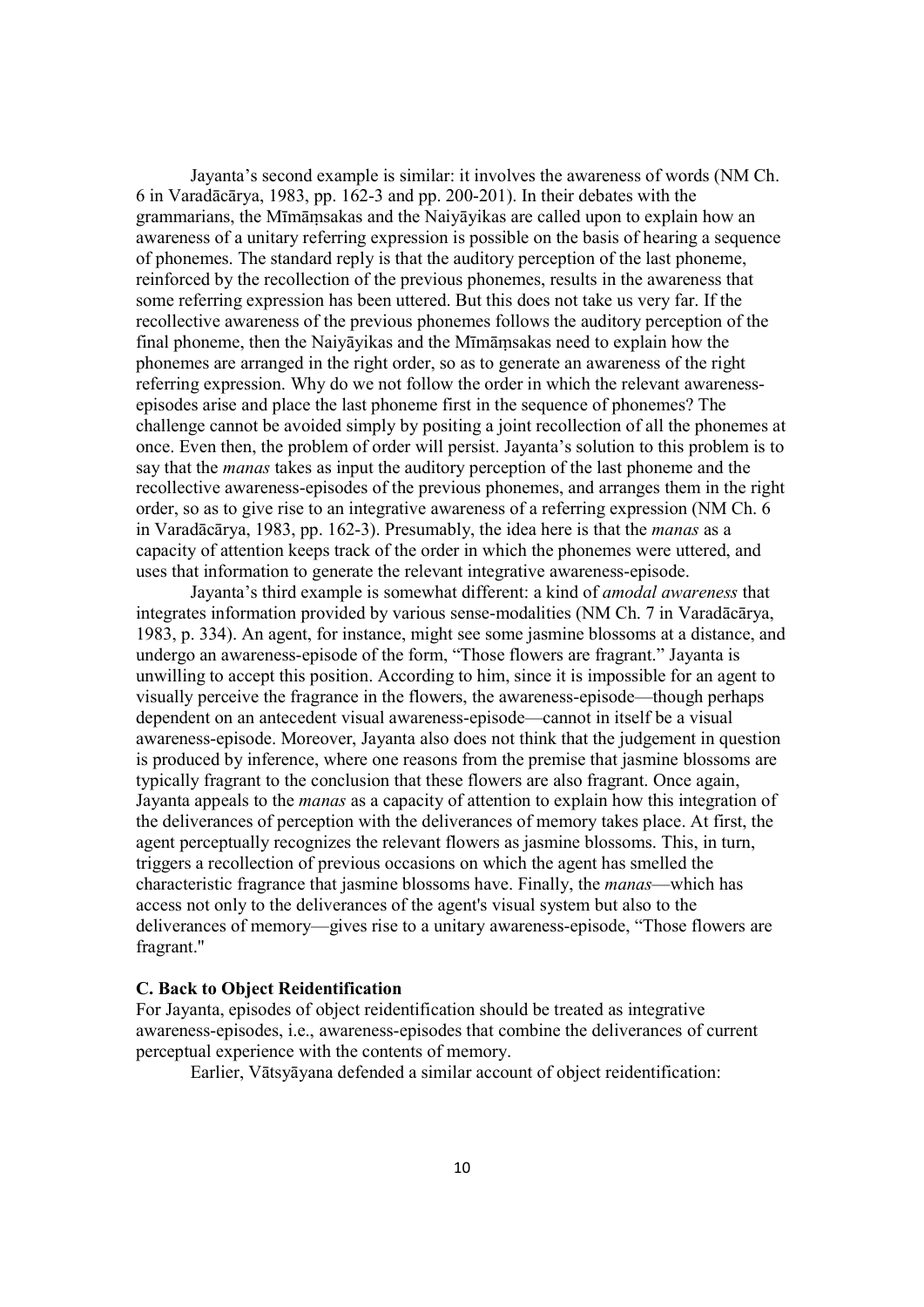Jayanta's second example is similar: it involves the awareness of words (NM Ch. 6 in Varadācārya, 1983, pp. 162-3 and pp. 200-201). In their debates with the grammarians, the Mīmāṃsakas and the Naiyāyikas are called upon to explain how an awareness of a unitary referring expression is possible on the basis of hearing a sequence of phonemes. The standard reply is that the auditory perception of the last phoneme, reinforced by the recollection of the previous phonemes, results in the awareness that some referring expression has been uttered. But this does not take us very far. If the recollective awareness of the previous phonemes follows the auditory perception of the final phoneme, then the Naiyāyikas and the Mīmāṃsakas need to explain how the phonemes are arranged in the right order, so as to generate an awareness of the right referring expression. Why do we not follow the order in which the relevant awarenessepisodes arise and place the last phoneme first in the sequence of phonemes? The challenge cannot be avoided simply by positing a joint recollection of all the phonemes at once. Even then, the problem of order will persist. Jayanta's solution to this problem is to say that the manas takes as input the auditory perception of the last phoneme and the recollective awareness-episodes of the previous phonemes, and arranges them in the right order, so as to give rise to an integrative awareness of a referring expression (NM Ch. 6 in Varadācārya, 1983, pp. 162-3). Presumably, the idea here is that the manas as a capacity of attention keeps track of the order in which the phonemes were uttered, and uses that information to generate the relevant integrative awareness-episode.

Jayanta's third example is somewhat different: a kind of *amodal awareness* that integrates information provided by various sense-modalities (NM Ch. 7 in Varadācārya, 1983, p. 334). An agent, for instance, might see some jasmine blossoms at a distance, and undergo an awareness-episode of the form, "Those flowers are fragrant." Jayanta is unwilling to accept this position. According to him, since it is impossible for an agent to visually perceive the fragrance in the flowers, the awareness-episode—though perhaps dependent on an antecedent visual awareness-episode—cannot in itself be a visual awareness-episode. Moreover, Jayanta also does not think that the judgement in question is produced by inference, where one reasons from the premise that jasmine blossoms are typically fragrant to the conclusion that these flowers are also fragrant. Once again, Jayanta appeals to the *manas* as a capacity of attention to explain how this integration of the deliverances of perception with the deliverances of memory takes place. At first, the agent perceptually recognizes the relevant flowers as jasmine blossoms. This, in turn, triggers a recollection of previous occasions on which the agent has smelled the characteristic fragrance that jasmine blossoms have. Finally, the *manas*—which has access not only to the deliverances of the agent's visual system but also to the deliverances of memory—gives rise to a unitary awareness-episode, "Those flowers are fragrant.''

### C. Back to Object Reidentification

For Jayanta, episodes of object reidentification should be treated as integrative awareness-episodes, i.e., awareness-episodes that combine the deliverances of current perceptual experience with the contents of memory.

Earlier, Vātsyāyana defended a similar account of object reidentification: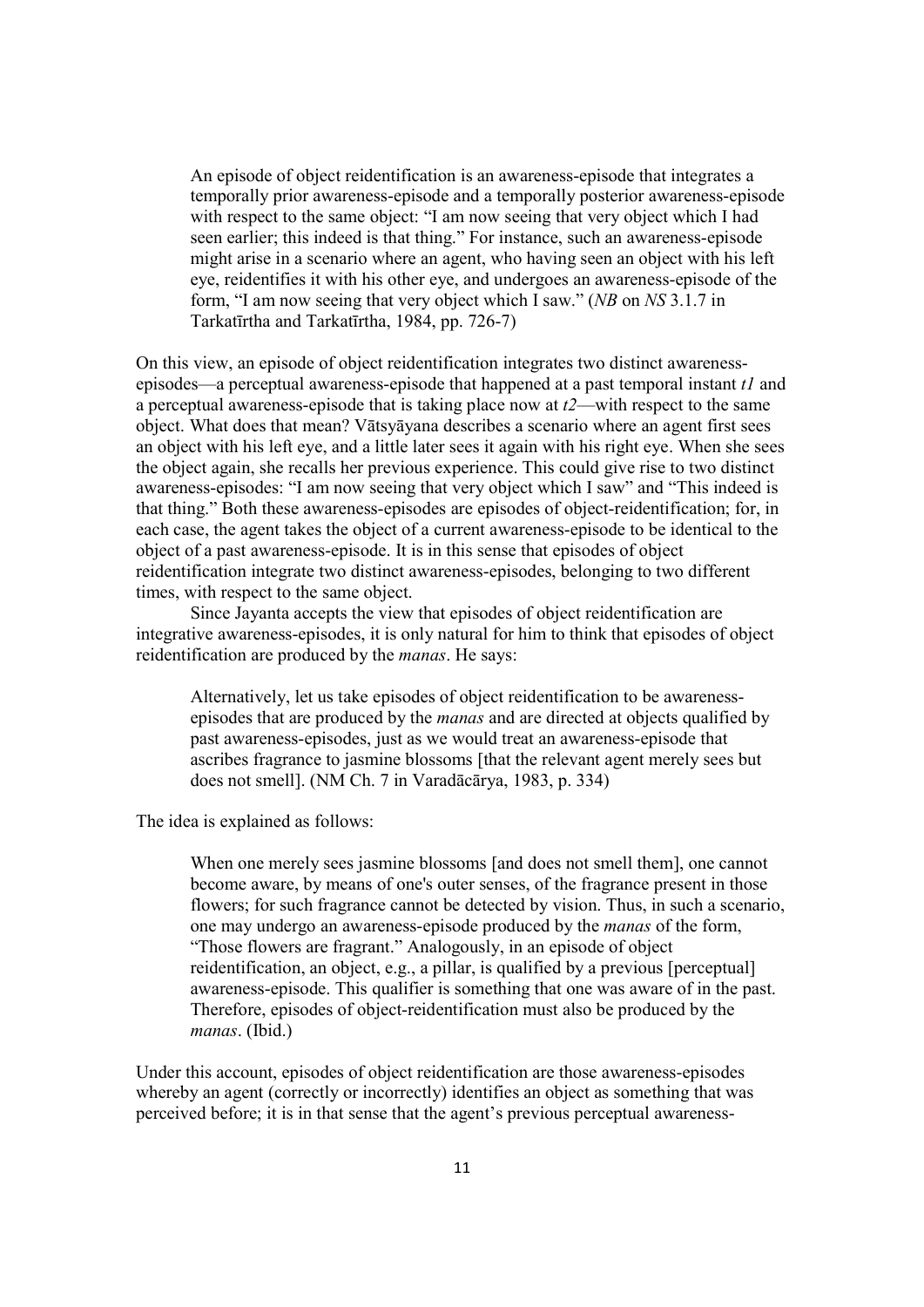An episode of object reidentification is an awareness-episode that integrates a temporally prior awareness-episode and a temporally posterior awareness-episode with respect to the same object: "I am now seeing that very object which I had seen earlier; this indeed is that thing." For instance, such an awareness-episode might arise in a scenario where an agent, who having seen an object with his left eye, reidentifies it with his other eye, and undergoes an awareness-episode of the form, "I am now seeing that very object which I saw." (NB on NS 3.1.7 in Tarkatīrtha and Tarkatīrtha, 1984, pp. 726-7)

On this view, an episode of object reidentification integrates two distinct awarenessepisodes—a perceptual awareness-episode that happened at a past temporal instant  $t\hat{l}$  and a perceptual awareness-episode that is taking place now at  $t2$ —with respect to the same object. What does that mean? Vātsyāyana describes a scenario where an agent first sees an object with his left eye, and a little later sees it again with his right eye. When she sees the object again, she recalls her previous experience. This could give rise to two distinct awareness-episodes: "I am now seeing that very object which I saw" and "This indeed is that thing." Both these awareness-episodes are episodes of object-reidentification; for, in each case, the agent takes the object of a current awareness-episode to be identical to the object of a past awareness-episode. It is in this sense that episodes of object reidentification integrate two distinct awareness-episodes, belonging to two different times, with respect to the same object.

Since Jayanta accepts the view that episodes of object reidentification are integrative awareness-episodes, it is only natural for him to think that episodes of object reidentification are produced by the manas. He says:

Alternatively, let us take episodes of object reidentification to be awarenessepisodes that are produced by the *manas* and are directed at objects qualified by past awareness-episodes, just as we would treat an awareness-episode that ascribes fragrance to jasmine blossoms [that the relevant agent merely sees but does not smell]. (NM Ch. 7 in Varadācārya, 1983, p. 334)

The idea is explained as follows:

When one merely sees jasmine blossoms [and does not smell them], one cannot become aware, by means of one's outer senses, of the fragrance present in those flowers; for such fragrance cannot be detected by vision. Thus, in such a scenario, one may undergo an awareness-episode produced by the manas of the form, "Those flowers are fragrant." Analogously, in an episode of object reidentification, an object, e.g., a pillar, is qualified by a previous [perceptual] awareness-episode. This qualifier is something that one was aware of in the past. Therefore, episodes of object-reidentification must also be produced by the manas. (Ibid.)

Under this account, episodes of object reidentification are those awareness-episodes whereby an agent (correctly or incorrectly) identifies an object as something that was perceived before; it is in that sense that the agent's previous perceptual awareness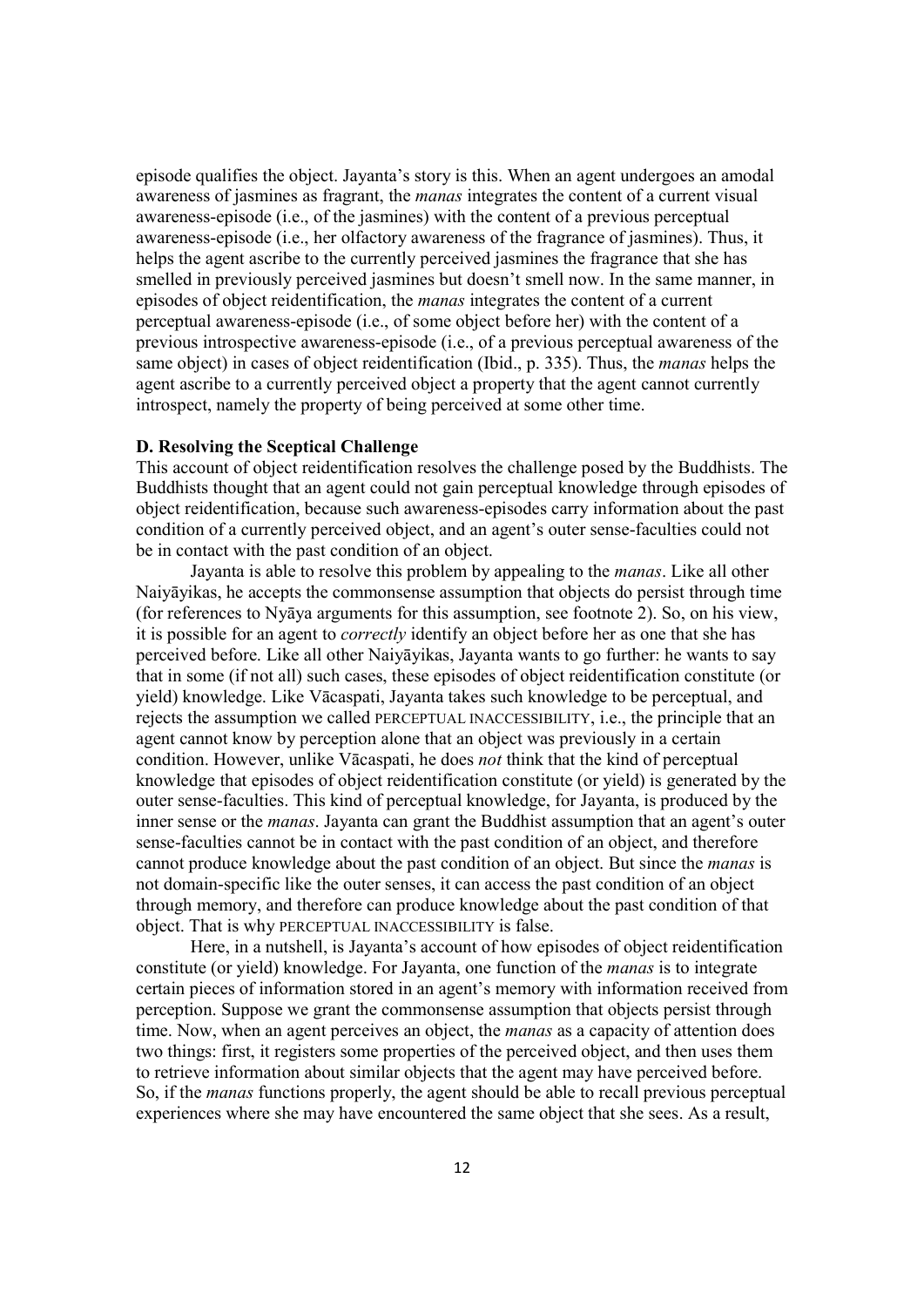episode qualifies the object. Jayanta's story is this. When an agent undergoes an amodal awareness of jasmines as fragrant, the manas integrates the content of a current visual awareness-episode (i.e., of the jasmines) with the content of a previous perceptual awareness-episode (i.e., her olfactory awareness of the fragrance of jasmines). Thus, it helps the agent ascribe to the currently perceived jasmines the fragrance that she has smelled in previously perceived jasmines but doesn't smell now. In the same manner, in episodes of object reidentification, the manas integrates the content of a current perceptual awareness-episode (i.e., of some object before her) with the content of a previous introspective awareness-episode (i.e., of a previous perceptual awareness of the same object) in cases of object reidentification (Ibid., p. 335). Thus, the manas helps the agent ascribe to a currently perceived object a property that the agent cannot currently introspect, namely the property of being perceived at some other time.

### D. Resolving the Sceptical Challenge

This account of object reidentification resolves the challenge posed by the Buddhists. The Buddhists thought that an agent could not gain perceptual knowledge through episodes of object reidentification, because such awareness-episodes carry information about the past condition of a currently perceived object, and an agent's outer sense-faculties could not be in contact with the past condition of an object.

Jayanta is able to resolve this problem by appealing to the manas. Like all other Naiyāyikas, he accepts the commonsense assumption that objects do persist through time (for references to Nyāya arguments for this assumption, see footnote 2). So, on his view, it is possible for an agent to *correctly* identify an object before her as one that she has perceived before. Like all other Naiyāyikas, Jayanta wants to go further: he wants to say that in some (if not all) such cases, these episodes of object reidentification constitute (or yield) knowledge. Like Vācaspati, Jayanta takes such knowledge to be perceptual, and rejects the assumption we called PERCEPTUAL INACCESSIBILITY, i.e., the principle that an agent cannot know by perception alone that an object was previously in a certain condition. However, unlike Vācaspati, he does not think that the kind of perceptual knowledge that episodes of object reidentification constitute (or yield) is generated by the outer sense-faculties. This kind of perceptual knowledge, for Jayanta, is produced by the inner sense or the manas. Jayanta can grant the Buddhist assumption that an agent's outer sense-faculties cannot be in contact with the past condition of an object, and therefore cannot produce knowledge about the past condition of an object. But since the manas is not domain-specific like the outer senses, it can access the past condition of an object through memory, and therefore can produce knowledge about the past condition of that object. That is why PERCEPTUAL INACCESSIBILITY is false.

Here, in a nutshell, is Jayanta's account of how episodes of object reidentification constitute (or yield) knowledge. For Jayanta, one function of the manas is to integrate certain pieces of information stored in an agent's memory with information received from perception. Suppose we grant the commonsense assumption that objects persist through time. Now, when an agent perceives an object, the *manas* as a capacity of attention does two things: first, it registers some properties of the perceived object, and then uses them to retrieve information about similar objects that the agent may have perceived before. So, if the manas functions properly, the agent should be able to recall previous perceptual experiences where she may have encountered the same object that she sees. As a result,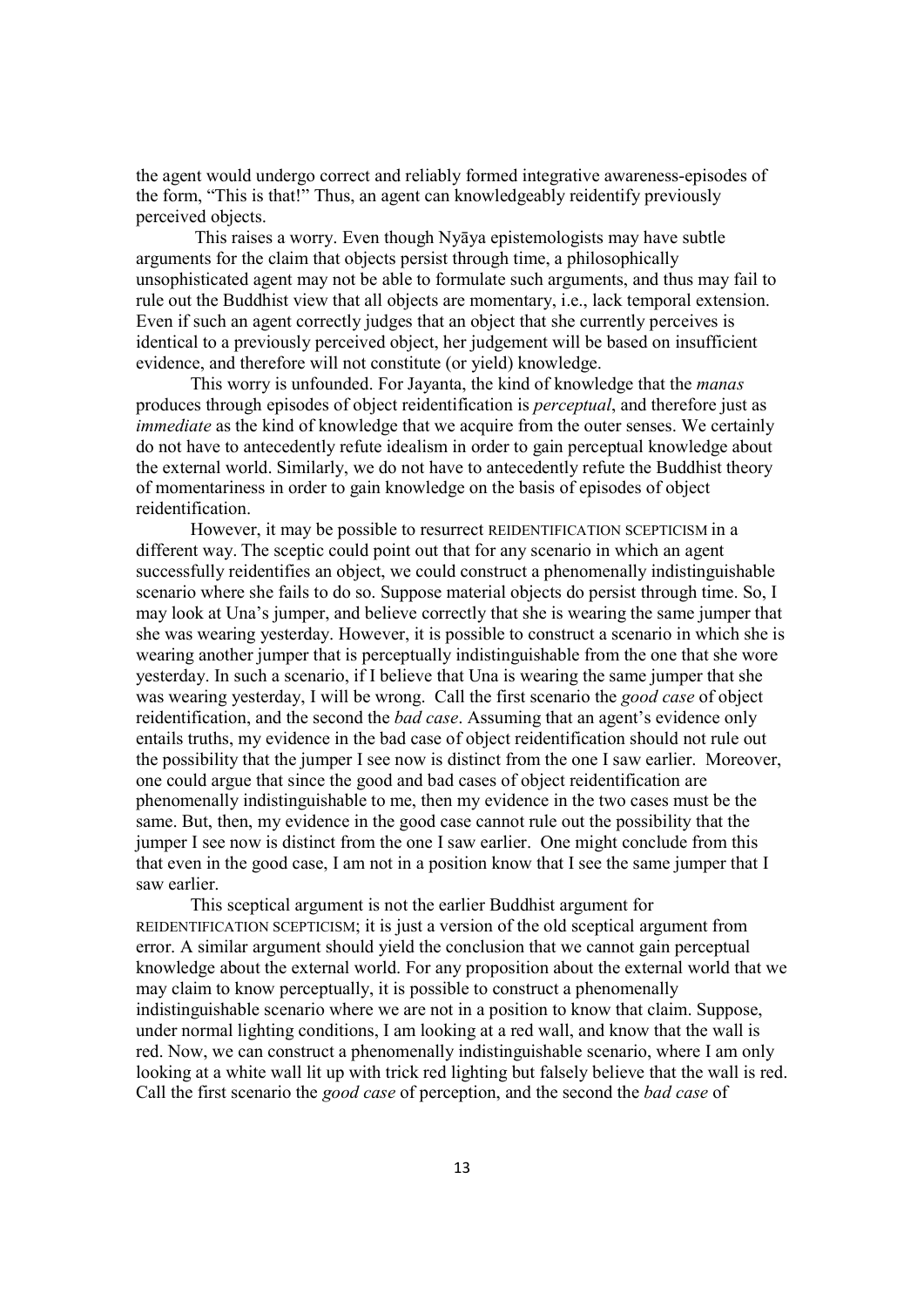the agent would undergo correct and reliably formed integrative awareness-episodes of the form, "This is that!" Thus, an agent can knowledgeably reidentify previously perceived objects.

 This raises a worry. Even though Nyāya epistemologists may have subtle arguments for the claim that objects persist through time, a philosophically unsophisticated agent may not be able to formulate such arguments, and thus may fail to rule out the Buddhist view that all objects are momentary, i.e., lack temporal extension. Even if such an agent correctly judges that an object that she currently perceives is identical to a previously perceived object, her judgement will be based on insufficient evidence, and therefore will not constitute (or yield) knowledge.

This worry is unfounded. For Jayanta, the kind of knowledge that the *manas* produces through episodes of object reidentification is perceptual, and therefore just as immediate as the kind of knowledge that we acquire from the outer senses. We certainly do not have to antecedently refute idealism in order to gain perceptual knowledge about the external world. Similarly, we do not have to antecedently refute the Buddhist theory of momentariness in order to gain knowledge on the basis of episodes of object reidentification.

However, it may be possible to resurrect REIDENTIFICATION SCEPTICISM in a different way. The sceptic could point out that for any scenario in which an agent successfully reidentifies an object, we could construct a phenomenally indistinguishable scenario where she fails to do so. Suppose material objects do persist through time. So, I may look at Una's jumper, and believe correctly that she is wearing the same jumper that she was wearing yesterday. However, it is possible to construct a scenario in which she is wearing another jumper that is perceptually indistinguishable from the one that she wore yesterday. In such a scenario, if I believe that Una is wearing the same jumper that she was wearing yesterday, I will be wrong. Call the first scenario the good case of object reidentification, and the second the bad case. Assuming that an agent's evidence only entails truths, my evidence in the bad case of object reidentification should not rule out the possibility that the jumper I see now is distinct from the one I saw earlier. Moreover, one could argue that since the good and bad cases of object reidentification are phenomenally indistinguishable to me, then my evidence in the two cases must be the same. But, then, my evidence in the good case cannot rule out the possibility that the jumper I see now is distinct from the one I saw earlier. One might conclude from this that even in the good case, I am not in a position know that I see the same jumper that I saw earlier.

This sceptical argument is not the earlier Buddhist argument for REIDENTIFICATION SCEPTICISM; it is just a version of the old sceptical argument from error. A similar argument should yield the conclusion that we cannot gain perceptual knowledge about the external world. For any proposition about the external world that we may claim to know perceptually, it is possible to construct a phenomenally indistinguishable scenario where we are not in a position to know that claim. Suppose, under normal lighting conditions, I am looking at a red wall, and know that the wall is red. Now, we can construct a phenomenally indistinguishable scenario, where I am only looking at a white wall lit up with trick red lighting but falsely believe that the wall is red. Call the first scenario the good case of perception, and the second the bad case of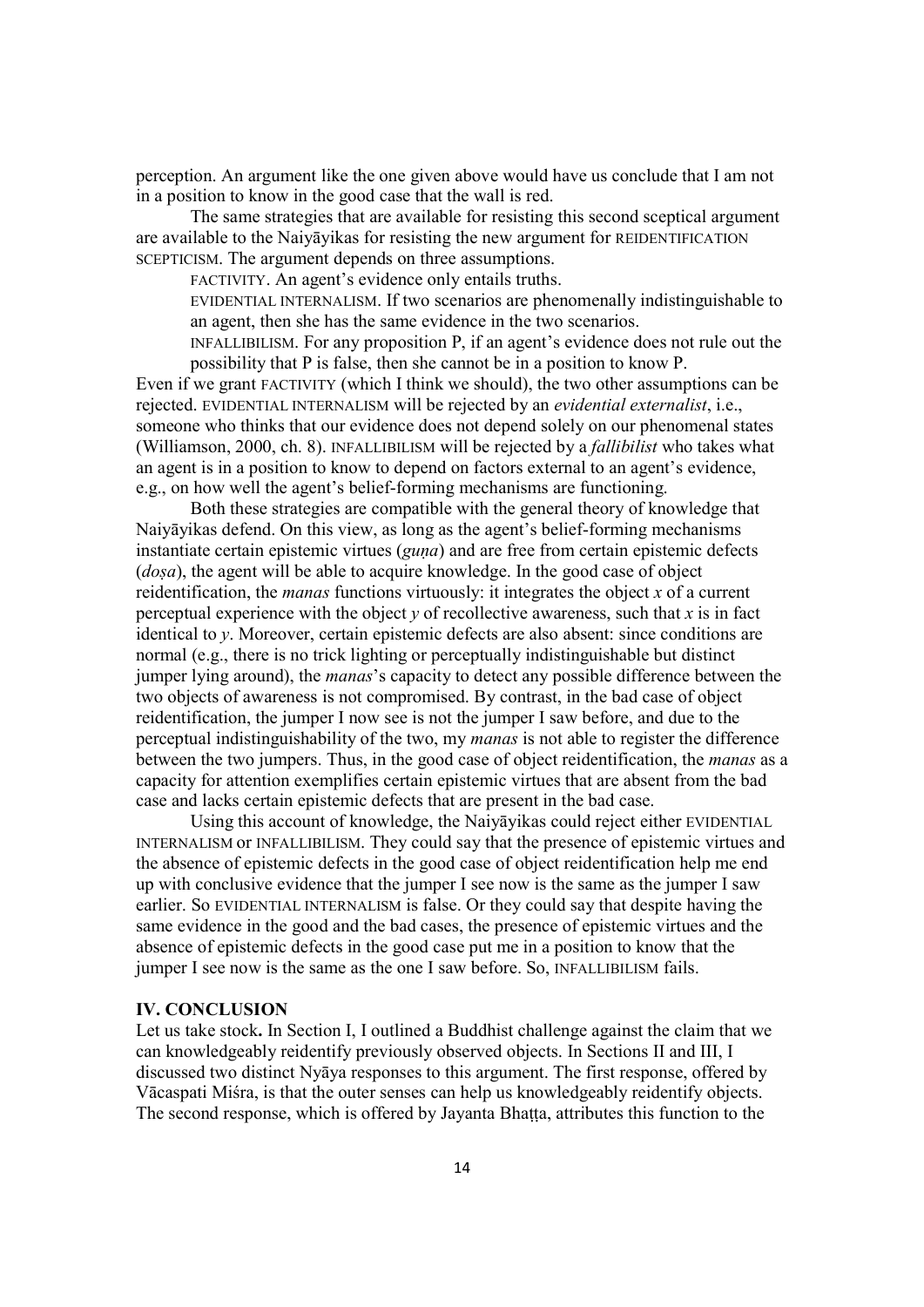perception. An argument like the one given above would have us conclude that I am not in a position to know in the good case that the wall is red.

The same strategies that are available for resisting this second sceptical argument are available to the Naiyāyikas for resisting the new argument for REIDENTIFICATION SCEPTICISM. The argument depends on three assumptions.

FACTIVITY. An agent's evidence only entails truths.

EVIDENTIAL INTERNALISM. If two scenarios are phenomenally indistinguishable to an agent, then she has the same evidence in the two scenarios.

INFALLIBILISM. For any proposition P, if an agent's evidence does not rule out the possibility that P is false, then she cannot be in a position to know P.

Even if we grant FACTIVITY (which I think we should), the two other assumptions can be rejected. EVIDENTIAL INTERNALISM will be rejected by an evidential externalist, i.e., someone who thinks that our evidence does not depend solely on our phenomenal states (Williamson, 2000, ch. 8). INFALLIBILISM will be rejected by a fallibilist who takes what an agent is in a position to know to depend on factors external to an agent's evidence, e.g., on how well the agent's belief-forming mechanisms are functioning.

Both these strategies are compatible with the general theory of knowledge that Naiyāyikas defend. On this view, as long as the agent's belief-forming mechanisms instantiate certain epistemic virtues (*guṇa*) and are free from certain epistemic defects (*dosa*), the agent will be able to acquire knowledge. In the good case of object reidentification, the *manas* functions virtuously: it integrates the object  $x$  of a current perceptual experience with the object  $y$  of recollective awareness, such that  $x$  is in fact identical to y. Moreover, certain epistemic defects are also absent: since conditions are normal (e.g., there is no trick lighting or perceptually indistinguishable but distinct jumper lying around), the manas's capacity to detect any possible difference between the two objects of awareness is not compromised. By contrast, in the bad case of object reidentification, the jumper I now see is not the jumper I saw before, and due to the perceptual indistinguishability of the two, my manas is not able to register the difference between the two jumpers. Thus, in the good case of object reidentification, the *manas* as a capacity for attention exemplifies certain epistemic virtues that are absent from the bad case and lacks certain epistemic defects that are present in the bad case.

Using this account of knowledge, the Naiyāyikas could reject either EVIDENTIAL INTERNALISM or INFALLIBILISM. They could say that the presence of epistemic virtues and the absence of epistemic defects in the good case of object reidentification help me end up with conclusive evidence that the jumper I see now is the same as the jumper I saw earlier. So EVIDENTIAL INTERNALISM is false. Or they could say that despite having the same evidence in the good and the bad cases, the presence of epistemic virtues and the absence of epistemic defects in the good case put me in a position to know that the jumper I see now is the same as the one I saw before. So, INFALLIBILISM fails.

#### IV. CONCLUSION

Let us take stock. In Section I, I outlined a Buddhist challenge against the claim that we can knowledgeably reidentify previously observed objects. In Sections II and III, I discussed two distinct Nyāya responses to this argument. The first response, offered by Vācaspati Miśra, is that the outer senses can help us knowledgeably reidentify objects. The second response, which is offered by Jayanta Bhatta, attributes this function to the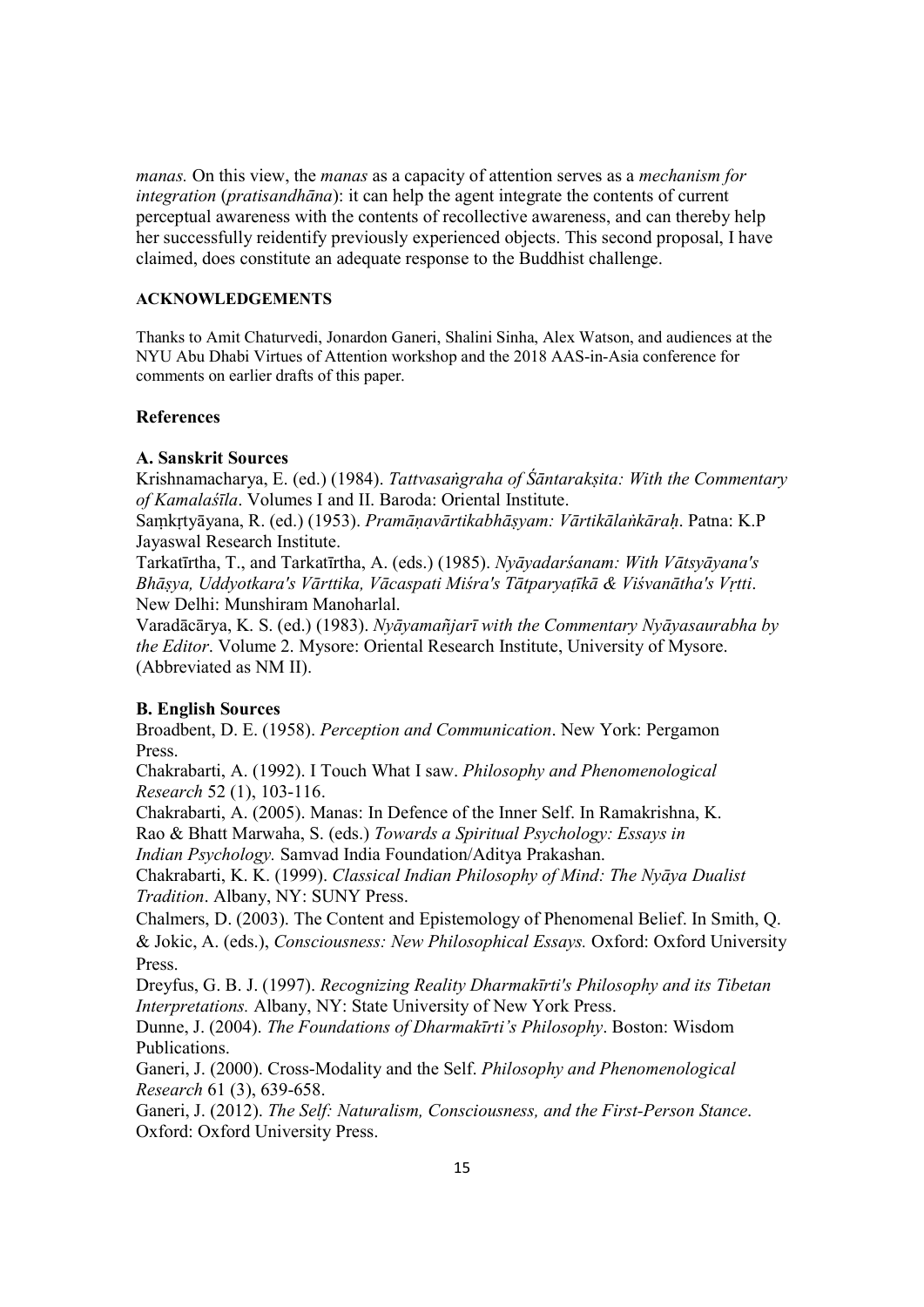manas. On this view, the manas as a capacity of attention serves as a mechanism for integration (pratisandhāna): it can help the agent integrate the contents of current perceptual awareness with the contents of recollective awareness, and can thereby help her successfully reidentify previously experienced objects. This second proposal, I have claimed, does constitute an adequate response to the Buddhist challenge.

# ACKNOWLEDGEMENTS

Thanks to Amit Chaturvedi, Jonardon Ganeri, Shalini Sinha, Alex Watson, and audiences at the NYU Abu Dhabi Virtues of Attention workshop and the 2018 AAS-in-Asia conference for comments on earlier drafts of this paper.

# References

### A. Sanskrit Sources

Krishnamacharya, E. (ed.) (1984). Tattvasaṅgraha of Śāntarakṣita: With the Commentary of Kamalaśīla. Volumes I and II. Baroda: Oriental Institute.

Samkrtyāyana, R. (ed.) (1953). Pramānavārtikabhāsyam: Vārtikālaṅkārah. Patna: K.P Jayaswal Research Institute.

Tarkatīrtha, T., and Tarkatīrtha, A. (eds.) (1985). Nyāyadarśanam: With Vātsyāyana's Bhāṣya, Uddyotkara's Vārttika, Vācaspati Miśra's Tātparyaṭīkā & Viśvanātha's Vṛtti. New Delhi: Munshiram Manoharlal.

Varadācārya, K. S. (ed.) (1983). Nyāyamañjarī with the Commentary Nyāyasaurabha by the Editor. Volume 2. Mysore: Oriental Research Institute, University of Mysore. (Abbreviated as NM II).

# B. English Sources

Broadbent, D. E. (1958). Perception and Communication. New York: Pergamon Press.

Chakrabarti, A. (1992). I Touch What I saw. Philosophy and Phenomenological Research 52 (1), 103-116.

Chakrabarti, A. (2005). Manas: In Defence of the Inner Self. In Ramakrishna, K. Rao & Bhatt Marwaha, S. (eds.) Towards a Spiritual Psychology: Essays in Indian Psychology. Samvad India Foundation/Aditya Prakashan.

Chakrabarti, K. K. (1999). Classical Indian Philosophy of Mind: The Nyāya Dualist Tradition. Albany, NY: SUNY Press.

Chalmers, D. (2003). The Content and Epistemology of Phenomenal Belief. In Smith, Q. & Jokic, A. (eds.), Consciousness: New Philosophical Essays. Oxford: Oxford University Press.

Dreyfus, G. B. J. (1997). Recognizing Reality Dharmakīrti's Philosophy and its Tibetan Interpretations. Albany, NY: State University of New York Press.

Dunne, J. (2004). The Foundations of Dharmakīrti's Philosophy. Boston: Wisdom Publications.

Ganeri, J. (2000). Cross-Modality and the Self. Philosophy and Phenomenological Research 61 (3), 639-658.

Ganeri, J. (2012). The Self: Naturalism, Consciousness, and the First-Person Stance. Oxford: Oxford University Press.